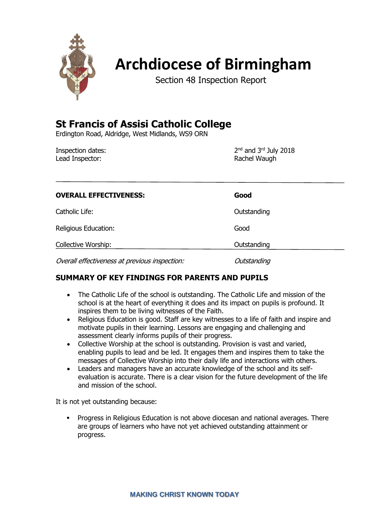

# **Archdiocese of Birmingham**

Section 48 Inspection Report

# **St Francis of Assisi Catholic College**

Erdington Road, Aldridge, West Midlands, WS9 ORN

Inspection dates: Lead Inspector: National According to the Rachel Waugh

2<sup>nd</sup> and 3<sup>rd</sup> July 2018

| <b>OVERALL EFFECTIVENESS:</b>                 | Good        |
|-----------------------------------------------|-------------|
| Catholic Life:                                | Outstanding |
| Religious Education:                          | Good        |
| Collective Worship:                           | Outstanding |
| Overall effectiveness at previous inspection: | Outstanding |

# **SUMMARY OF KEY FINDINGS FOR PARENTS AND PUPILS**

- The Catholic Life of the school is outstanding. The Catholic Life and mission of the school is at the heart of everything it does and its impact on pupils is profound. It inspires them to be living witnesses of the Faith.
- Religious Education is good. Staff are key witnesses to a life of faith and inspire and motivate pupils in their learning. Lessons are engaging and challenging and assessment clearly informs pupils of their progress.
- Collective Worship at the school is outstanding. Provision is vast and varied, enabling pupils to lead and be led. It engages them and inspires them to take the messages of Collective Worship into their daily life and interactions with others.
- Leaders and managers have an accurate knowledge of the school and its selfevaluation is accurate. There is a clear vision for the future development of the life and mission of the school.

It is not yet outstanding because:

▪ Progress in Religious Education is not above diocesan and national averages. There are groups of learners who have not yet achieved outstanding attainment or progress.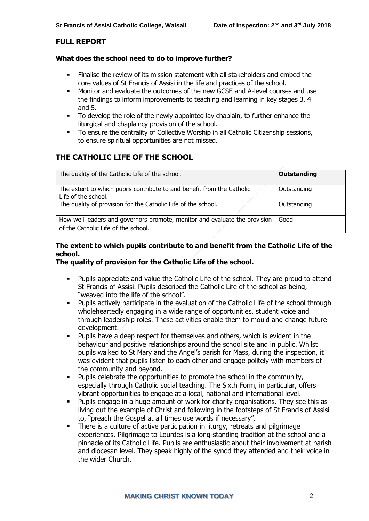# **FULL REPORT**

#### **What does the school need to do to improve further?**

- Finalise the review of its mission statement with all stakeholders and embed the core values of St Francis of Assisi in the life and practices of the school.
- Monitor and evaluate the outcomes of the new GCSE and A-level courses and use the findings to inform improvements to teaching and learning in key stages 3, 4 and 5.
- To develop the role of the newly appointed lay chaplain, to further enhance the liturgical and chaplaincy provision of the school.
- To ensure the centrality of Collective Worship in all Catholic Citizenship sessions, to ensure spiritual opportunities are not missed.

# **THE CATHOLIC LIFE OF THE SCHOOL**

| The quality of the Catholic Life of the school.                                                                   | <b>Outstanding</b> |
|-------------------------------------------------------------------------------------------------------------------|--------------------|
| The extent to which pupils contribute to and benefit from the Catholic<br>Life of the school.                     | Outstanding        |
| The quality of provision for the Catholic Life of the school.                                                     | Outstanding        |
| How well leaders and governors promote, monitor and evaluate the provision<br>of the Catholic Life of the school. | Good               |

# **The extent to which pupils contribute to and benefit from the Catholic Life of the school.**

# **The quality of provision for the Catholic Life of the school.**

- Pupils appreciate and value the Catholic Life of the school. They are proud to attend St Francis of Assisi. Pupils described the Catholic Life of the school as being, "weaved into the life of the school".
- Pupils actively participate in the evaluation of the Catholic Life of the school through wholeheartedly engaging in a wide range of opportunities, student voice and through leadership roles. These activities enable them to mould and change future development.
- **•** Pupils have a deep respect for themselves and others, which is evident in the behaviour and positive relationships around the school site and in public. Whilst pupils walked to St Mary and the Angel's parish for Mass, during the inspection, it was evident that pupils listen to each other and engage politely with members of the community and beyond.
- Pupils celebrate the opportunities to promote the school in the community, especially through Catholic social teaching. The Sixth Form, in particular, offers vibrant opportunities to engage at a local, national and international level.
- Pupils engage in a huge amount of work for charity organisations. They see this as living out the example of Christ and following in the footsteps of St Francis of Assisi to, "preach the Gospel at all times use words if necessary".
- **•** There is a culture of active participation in liturgy, retreats and pilgrimage experiences. Pilgrimage to Lourdes is a long-standing tradition at the school and a pinnacle of its Catholic Life. Pupils are enthusiastic about their involvement at parish and diocesan level. They speak highly of the synod they attended and their voice in the wider Church.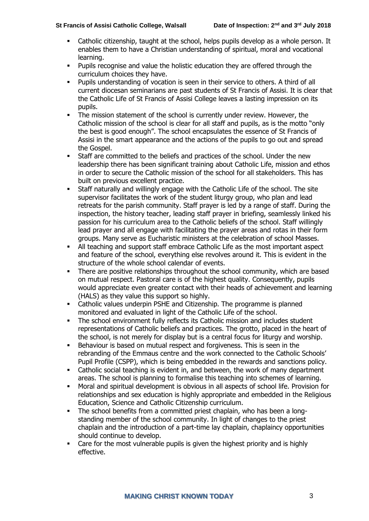- Catholic citizenship, taught at the school, helps pupils develop as a whole person. It enables them to have a Christian understanding of spiritual, moral and vocational learning.
- Pupils recognise and value the holistic education they are offered through the curriculum choices they have.
- Pupils understanding of vocation is seen in their service to others. A third of all current diocesan seminarians are past students of St Francis of Assisi. It is clear that the Catholic Life of St Francis of Assisi College leaves a lasting impression on its pupils.
- **•** The mission statement of the school is currently under review. However, the Catholic mission of the school is clear for all staff and pupils, as is the motto "only the best is good enough". The school encapsulates the essence of St Francis of Assisi in the smart appearance and the actions of the pupils to go out and spread the Gospel.
- Staff are committed to the beliefs and practices of the school. Under the new leadership there has been significant training about Catholic Life, mission and ethos in order to secure the Catholic mission of the school for all stakeholders. This has built on previous excellent practice.
- Staff naturally and willingly engage with the Catholic Life of the school. The site supervisor facilitates the work of the student liturgy group, who plan and lead retreats for the parish community. Staff prayer is led by a range of staff. During the inspection, the history teacher, leading staff prayer in briefing, seamlessly linked his passion for his curriculum area to the Catholic beliefs of the school. Staff willingly lead prayer and all engage with facilitating the prayer areas and rotas in their form groups. Many serve as Eucharistic ministers at the celebration of school Masses.
- All teaching and support staff embrace Catholic Life as the most important aspect and feature of the school, everything else revolves around it. This is evident in the structure of the whole school calendar of events.
- There are positive relationships throughout the school community, which are based on mutual respect. Pastoral care is of the highest quality. Consequently, pupils would appreciate even greater contact with their heads of achievement and learning (HALS) as they value this support so highly.
- Catholic values underpin PSHE and Citizenship. The programme is planned monitored and evaluated in light of the Catholic Life of the school.
- The school environment fully reflects its Catholic mission and includes student representations of Catholic beliefs and practices. The grotto, placed in the heart of the school, is not merely for display but is a central focus for liturgy and worship.
- Behaviour is based on mutual respect and forgiveness. This is seen in the rebranding of the Emmaus centre and the work connected to the Catholic Schools' Pupil Profile (CSPP), which is being embedded in the rewards and sanctions policy.
- Catholic social teaching is evident in, and between, the work of many department areas. The school is planning to formalise this teaching into schemes of learning.
- Moral and spiritual development is obvious in all aspects of school life. Provision for relationships and sex education is highly appropriate and embedded in the Religious Education, Science and Catholic Citizenship curriculum.
- The school benefits from a committed priest chaplain, who has been a longstanding member of the school community. In light of changes to the priest chaplain and the introduction of a part-time lay chaplain, chaplaincy opportunities should continue to develop.
- Care for the most vulnerable pupils is given the highest priority and is highly effective.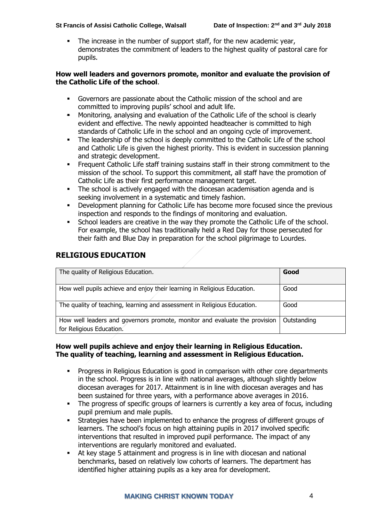The increase in the number of support staff, for the new academic year, demonstrates the commitment of leaders to the highest quality of pastoral care for pupils.

#### **How well leaders and governors promote, monitor and evaluate the provision of the Catholic Life of the school**.

- Governors are passionate about the Catholic mission of the school and are committed to improving pupils' school and adult life.
- Monitoring, analysing and evaluation of the Catholic Life of the school is clearly evident and effective. The newly appointed headteacher is committed to high standards of Catholic Life in the school and an ongoing cycle of improvement.
- The leadership of the school is deeply committed to the Catholic Life of the school and Catholic Life is given the highest priority. This is evident in succession planning and strategic development.
- **•** Frequent Catholic Life staff training sustains staff in their strong commitment to the mission of the school. To support this commitment, all staff have the promotion of Catholic Life as their first performance management target.
- The school is actively engaged with the diocesan academisation agenda and is seeking involvement in a systematic and timely fashion.
- Development planning for Catholic Life has become more focused since the previous inspection and responds to the findings of monitoring and evaluation.
- School leaders are creative in the way they promote the Catholic Life of the school. For example, the school has traditionally held a Red Day for those persecuted for their faith and Blue Day in preparation for the school pilgrimage to Lourdes.

# **RELIGIOUS EDUCATION**

| The quality of Religious Education.                                                                    | Good        |
|--------------------------------------------------------------------------------------------------------|-------------|
| How well pupils achieve and enjoy their learning in Religious Education.                               | Good        |
| The quality of teaching, learning and assessment in Religious Education.                               | Good        |
| How well leaders and governors promote, monitor and evaluate the provision<br>for Religious Education. | Outstanding |

#### **How well pupils achieve and enjoy their learning in Religious Education. The quality of teaching, learning and assessment in Religious Education.**

- Progress in Religious Education is good in comparison with other core departments in the school. Progress is in line with national averages, although slightly below diocesan averages for 2017. Attainment is in line with diocesan averages and has been sustained for three years, with a performance above averages in 2016.
- **•** The progress of specific groups of learners is currently a key area of focus, including pupil premium and male pupils.
- Strategies have been implemented to enhance the progress of different groups of learners. The school's focus on high attaining pupils in 2017 involved specific interventions that resulted in improved pupil performance. The impact of any interventions are regularly monitored and evaluated.
- At key stage 5 attainment and progress is in line with diocesan and national benchmarks, based on relatively low cohorts of learners. The department has identified higher attaining pupils as a key area for development.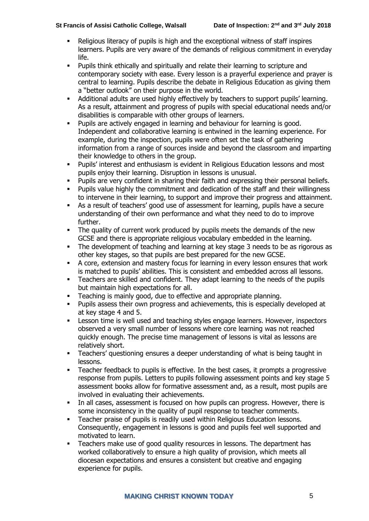- Religious literacy of pupils is high and the exceptional witness of staff inspires learners. Pupils are very aware of the demands of religious commitment in everyday life.
- Pupils think ethically and spiritually and relate their learning to scripture and contemporary society with ease. Every lesson is a prayerful experience and prayer is central to learning. Pupils describe the debate in Religious Education as giving them a "better outlook" on their purpose in the world.
- Additional adults are used highly effectively by teachers to support pupils' learning. As a result, attainment and progress of pupils with special educational needs and/or disabilities is comparable with other groups of learners.
- Pupils are actively engaged in learning and behaviour for learning is good. Independent and collaborative learning is entwined in the learning experience. For example, during the inspection, pupils were often set the task of gathering information from a range of sources inside and beyond the classroom and imparting their knowledge to others in the group.
- Pupils' interest and enthusiasm is evident in Religious Education lessons and most pupils enjoy their learning. Disruption in lessons is unusual.
- Pupils are very confident in sharing their faith and expressing their personal beliefs.
- Pupils value highly the commitment and dedication of the staff and their willingness to intervene in their learning, to support and improve their progress and attainment.
- As a result of teachers' good use of assessment for learning, pupils have a secure understanding of their own performance and what they need to do to improve further.
- **•** The quality of current work produced by pupils meets the demands of the new GCSE and there is appropriate religious vocabulary embedded in the learning.
- The development of teaching and learning at key stage 3 needs to be as rigorous as other key stages, so that pupils are best prepared for the new GCSE.
- A core, extension and mastery focus for learning in every lesson ensures that work is matched to pupils' abilities. This is consistent and embedded across all lessons.
- Teachers are skilled and confident. They adapt learning to the needs of the pupils but maintain high expectations for all.
- Teaching is mainly good, due to effective and appropriate planning.
- Pupils assess their own progress and achievements, this is especially developed at at key stage 4 and 5.
- **EXECTE 15 IDENE is well used and teaching styles engage learners. However, inspectors** observed a very small number of lessons where core learning was not reached quickly enough. The precise time management of lessons is vital as lessons are relatively short.
- Teachers' questioning ensures a deeper understanding of what is being taught in lessons.
- Teacher feedback to pupils is effective. In the best cases, it prompts a progressive response from pupils. Letters to pupils following assessment points and key stage 5 assessment books allow for formative assessment and, as a result, most pupils are involved in evaluating their achievements.
- **•** In all cases, assessment is focused on how pupils can progress. However, there is some inconsistency in the quality of pupil response to teacher comments.
- Teacher praise of pupils is readily used within Religious Education lessons. Consequently, engagement in lessons is good and pupils feel well supported and motivated to learn.
- Teachers make use of good quality resources in lessons. The department has worked collaboratively to ensure a high quality of provision, which meets all diocesan expectations and ensures a consistent but creative and engaging experience for pupils.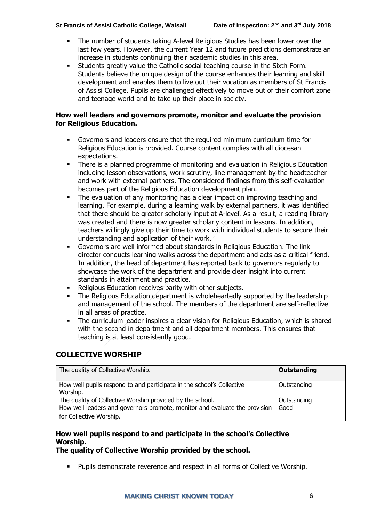- The number of students taking A-level Religious Studies has been lower over the last few years. However, the current Year 12 and future predictions demonstrate an increase in students continuing their academic studies in this area.
- Students greatly value the Catholic social teaching course in the Sixth Form. Students believe the unique design of the course enhances their learning and skill development and enables them to live out their vocation as members of St Francis of Assisi College. Pupils are challenged effectively to move out of their comfort zone and teenage world and to take up their place in society.

#### **How well leaders and governors promote, monitor and evaluate the provision for Religious Education.**

- Governors and leaders ensure that the required minimum curriculum time for Religious Education is provided. Course content complies with all diocesan expectations.
- **•** There is a planned programme of monitoring and evaluation in Religious Education including lesson observations, work scrutiny, line management by the headteacher and work with external partners. The considered findings from this self-evaluation becomes part of the Religious Education development plan.
- The evaluation of any monitoring has a clear impact on improving teaching and learning. For example, during a learning walk by external partners, it was identified that there should be greater scholarly input at A-level. As a result, a reading library was created and there is now greater scholarly content in lessons. In addition, teachers willingly give up their time to work with individual students to secure their understanding and application of their work.
- Governors are well informed about standards in Religious Education. The link director conducts learning walks across the department and acts as a critical friend. In addition, the head of department has reported back to governors regularly to showcase the work of the department and provide clear insight into current standards in attainment and practice.
- Religious Education receives parity with other subjects.
- The Religious Education department is wholeheartedly supported by the leadership and management of the school. The members of the department are self-reflective in all areas of practice.
- The curriculum leader inspires a clear vision for Religious Education, which is shared with the second in department and all department members. This ensures that teaching is at least consistently good.

# **COLLECTIVE WORSHIP**

| The quality of Collective Worship.                                                | <b>Outstanding</b> |
|-----------------------------------------------------------------------------------|--------------------|
| How well pupils respond to and participate in the school's Collective<br>Worship. | Outstanding        |
| The quality of Collective Worship provided by the school.                         | Outstanding        |
| How well leaders and governors promote, monitor and evaluate the provision        | Good               |
| for Collective Worship.                                                           |                    |

# **How well pupils respond to and participate in the school's Collective Worship.**

### **The quality of Collective Worship provided by the school.**

▪ Pupils demonstrate reverence and respect in all forms of Collective Worship.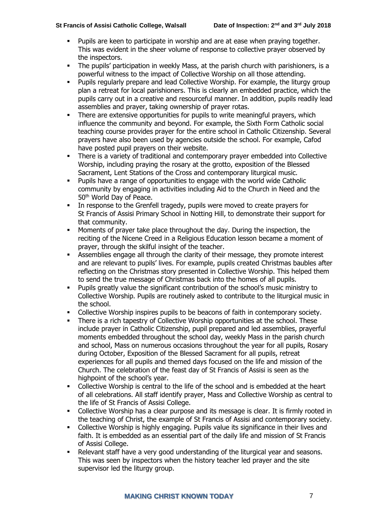- Pupils are keen to participate in worship and are at ease when praying together. This was evident in the sheer volume of response to collective prayer observed by the inspectors.
- The pupils' participation in weekly Mass, at the parish church with parishioners, is a powerful witness to the impact of Collective Worship on all those attending.
- Pupils regularly prepare and lead Collective Worship. For example, the liturgy group plan a retreat for local parishioners. This is clearly an embedded practice, which the pupils carry out in a creative and resourceful manner. In addition, pupils readily lead assemblies and prayer, taking ownership of prayer rotas.
- **•** There are extensive opportunities for pupils to write meaningful prayers, which influence the community and beyond. For example, the Sixth Form Catholic social teaching course provides prayer for the entire school in Catholic Citizenship. Several prayers have also been used by agencies outside the school. For example, Cafod have posted pupil prayers on their website.
- There is a variety of traditional and contemporary prayer embedded into Collective Worship, including praying the rosary at the grotto, exposition of the Blessed Sacrament, Lent Stations of the Cross and contemporary liturgical music.
- Pupils have a range of opportunities to engage with the world wide Catholic community by engaging in activities including Aid to the Church in Need and the 50th World Day of Peace.
- In response to the Grenfell tragedy, pupils were moved to create prayers for St Francis of Assisi Primary School in Notting Hill, to demonstrate their support for that community.
- Moments of prayer take place throughout the day. During the inspection, the reciting of the Nicene Creed in a Religious Education lesson became a moment of prayer, through the skilful insight of the teacher.
- Assemblies engage all through the clarity of their message, they promote interest and are relevant to pupils' lives. For example, pupils created Christmas baubles after reflecting on the Christmas story presented in Collective Worship. This helped them to send the true message of Christmas back into the homes of all pupils.
- Pupils greatly value the significant contribution of the school's music ministry to Collective Worship. Pupils are routinely asked to contribute to the liturgical music in the school.
- Collective Worship inspires pupils to be beacons of faith in contemporary society.
- There is a rich tapestry of Collective Worship opportunities at the school. These include prayer in Catholic Citizenship, pupil prepared and led assemblies, prayerful moments embedded throughout the school day, weekly Mass in the parish church and school, Mass on numerous occasions throughout the year for all pupils, Rosary during October, Exposition of the Blessed Sacrament for all pupils, retreat experiences for all pupils and themed days focused on the life and mission of the Church. The celebration of the feast day of St Francis of Assisi is seen as the highpoint of the school's year.
- Collective Worship is central to the life of the school and is embedded at the heart of all celebrations. All staff identify prayer, Mass and Collective Worship as central to the life of St Francis of Assisi College.
- Collective Worship has a clear purpose and its message is clear. It is firmly rooted in the teaching of Christ, the example of St Francis of Assisi and contemporary society.
- Collective Worship is highly engaging. Pupils value its significance in their lives and faith. It is embedded as an essential part of the daily life and mission of St Francis of Assisi College.
- Relevant staff have a very good understanding of the liturgical year and seasons. This was seen by inspectors when the history teacher led prayer and the site supervisor led the liturgy group.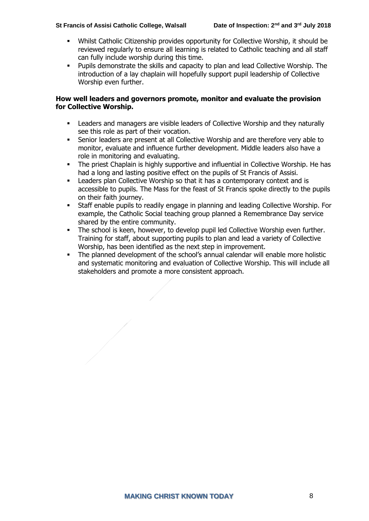- Whilst Catholic Citizenship provides opportunity for Collective Worship, it should be reviewed regularly to ensure all learning is related to Catholic teaching and all staff can fully include worship during this time.
- Pupils demonstrate the skills and capacity to plan and lead Collective Worship. The introduction of a lay chaplain will hopefully support pupil leadership of Collective Worship even further.

#### **How well leaders and governors promote, monitor and evaluate the provision for Collective Worship.**

- Leaders and managers are visible leaders of Collective Worship and they naturally see this role as part of their vocation.
- Senior leaders are present at all Collective Worship and are therefore very able to monitor, evaluate and influence further development. Middle leaders also have a role in monitoring and evaluating.
- **•** The priest Chaplain is highly supportive and influential in Collective Worship. He has had a long and lasting positive effect on the pupils of St Francis of Assisi.
- Leaders plan Collective Worship so that it has a contemporary context and is accessible to pupils. The Mass for the feast of St Francis spoke directly to the pupils on their faith journey.
- Staff enable pupils to readily engage in planning and leading Collective Worship. For example, the Catholic Social teaching group planned a Remembrance Day service shared by the entire community.
- The school is keen, however, to develop pupil led Collective Worship even further. Training for staff, about supporting pupils to plan and lead a variety of Collective Worship, has been identified as the next step in improvement.
- The planned development of the school's annual calendar will enable more holistic and systematic monitoring and evaluation of Collective Worship. This will include all stakeholders and promote a more consistent approach.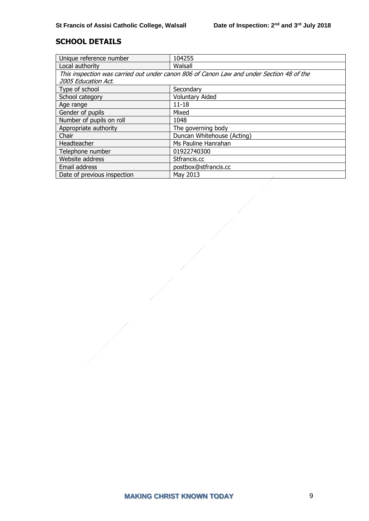# **SCHOOL DETAILS**

| Unique reference number                                                                  | 104255                     |  |
|------------------------------------------------------------------------------------------|----------------------------|--|
| Local authority                                                                          | Walsall                    |  |
| This inspection was carried out under canon 806 of Canon Law and under Section 48 of the |                            |  |
| 2005 Education Act.                                                                      |                            |  |
| Type of school                                                                           | Secondary                  |  |
| School category                                                                          | <b>Voluntary Aided</b>     |  |
| Age range                                                                                | $11 - 18$                  |  |
| Gender of pupils                                                                         | Mixed                      |  |
| Number of pupils on roll                                                                 | 1048                       |  |
| Appropriate authority                                                                    | The governing body         |  |
| Chair                                                                                    | Duncan Whitehouse (Acting) |  |
| Headteacher                                                                              | Ms Pauline Hanrahan        |  |
| Telephone number                                                                         | 01922740300                |  |
| Website address                                                                          | Stfrancis.cc               |  |
| Email address                                                                            | postbox@stfrancis.cc       |  |
| Date of previous inspection                                                              | May 2013                   |  |